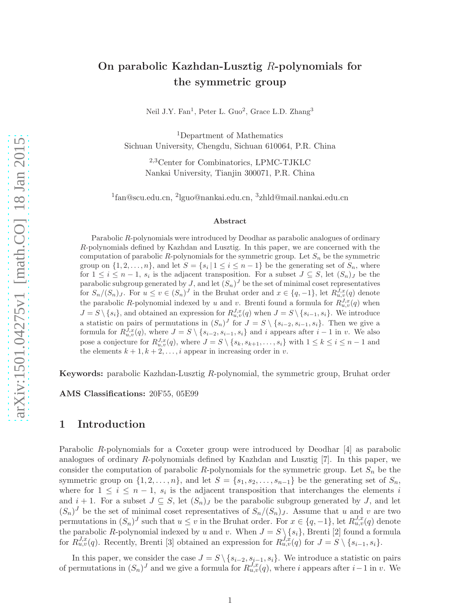## On parabolic Kazhdan-Lusztig R-polynomials for the symmetric group

Neil J.Y. Fan<sup>1</sup>, Peter L. Guo<sup>2</sup>, Grace L.D. Zhang<sup>3</sup>

<sup>1</sup>Department of Mathematics Sichuan University, Chengdu, Sichuan 610064, P.R. China

> <sup>2</sup>,3Center for Combinatorics, LPMC-TJKLC Nankai University, Tianjin 300071, P.R. China

1 fan@scu.edu.cn, <sup>2</sup> lguo@nankai.edu.cn, <sup>3</sup> zhld@mail.nankai.edu.cn

#### Abstract

Parabolic R-polynomials were introduced by Deodhar as parabolic analogues of ordinary R-polynomials defined by Kazhdan and Lusztig. In this paper, we are concerned with the computation of parabolic R-polynomials for the symmetric group. Let  $S_n$  be the symmetric group on  $\{1, 2, \ldots, n\}$ , and let  $S = \{s_i | 1 \le i \le n-1\}$  be the generating set of  $S_n$ , where for  $1 \leq i \leq n-1$ ,  $s_i$  is the adjacent transposition. For a subset  $J \subseteq S$ , let  $(S_n)_J$  be the parabolic subgroup generated by J, and let  $(S_n)^J$  be the set of minimal coset representatives for  $S_n/(S_n)$ , For  $u \le v \in (S_n)^J$  in the Bruhat order and  $x \in \{q, -1\}$ , let  $R_{u,v}^{J,x}(q)$  denote the parabolic R-polynomial indexed by u and v. Brenti found a formula for  $R_{u,v}^{J,x}(q)$  when  $J = S \setminus \{s_i\}$ , and obtained an expression for  $R_{u,v}^{J,x}(q)$  when  $J = S \setminus \{s_{i-1}, s_i\}$ . We introduce a statistic on pairs of permutations in  $(S_n)^J$  for  $J = S \setminus \{s_{i-2}, s_{i-1}, s_i\}$ . Then we give a formula for  $R_{u,v}^{J,x}(q)$ , where  $J = S \setminus \{s_{i-2}, s_{i-1}, s_i\}$  and i appears after  $i-1$  in v. We also pose a conjecture for  $R_{u,v}^{J,x}(q)$ , where  $J = S \setminus \{s_k, s_{k+1}, \ldots, s_i\}$  with  $1 \leq k \leq i \leq n-1$  and the elements  $k + 1, k + 2, \ldots, i$  appear in increasing order in v.

Keywords: parabolic Kazhdan-Lusztig R-polynomial, the symmetric group, Bruhat order

AMS Classifications: 20F55, 05E99

#### 1 Introduction

Parabolic R-polynomials for a Coxeter group were introduced by Deodhar [4] as parabolic analogues of ordinary R-polynomials defined by Kazhdan and Lusztig [7]. In this paper, we consider the computation of parabolic R-polynomials for the symmetric group. Let  $S_n$  be the symmetric group on  $\{1, 2, \ldots, n\}$ , and let  $S = \{s_1, s_2, \ldots, s_{n-1}\}$  be the generating set of  $S_n$ , where for  $1 \leq i \leq n-1$ ,  $s_i$  is the adjacent transposition that interchanges the elements i and  $i + 1$ . For a subset  $J \subseteq S$ , let  $(S_n)_J$  be the parabolic subgroup generated by J, and let  $(S_n)^J$  be the set of minimal coset representatives of  $S_n/(S_n)_J$ . Assume that u and v are two permutations in  $(S_n)^J$  such that  $u \leq v$  in the Bruhat order. For  $x \in \{q, -1\}$ , let  $R_{u,v}^{J,x}(q)$  denote the parabolic R-polynomial indexed by u and v. When  $J = S \setminus \{s_i\}$ , Brenti [2] found a formula for  $R_{u,v}^{J,x}(q)$ . Recently, Brenti [3] obtained an expression for  $R_{u,v}^{J,x}(q)$  for  $J = S \setminus \{s_{i-1}, s_i\}$ .

In this paper, we consider the case  $J = S \setminus \{s_{i-2}, s_{i-1}, s_i\}$ . We introduce a statistic on pairs of permutations in  $(S_n)^J$  and we give a formula for  $R_{u,v}^{J,x}(q)$ , where i appears after i – 1 in v. We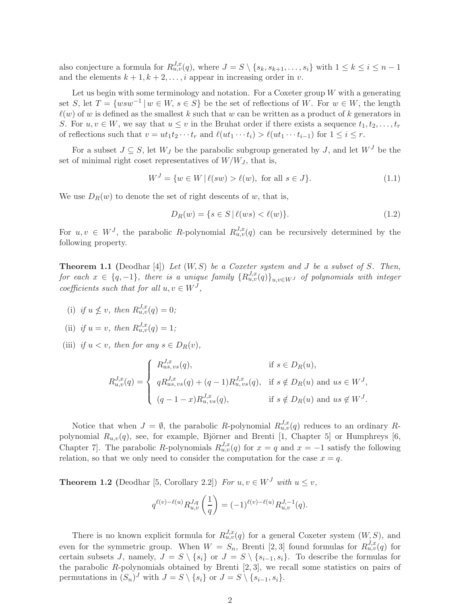also conjecture a formula for  $R_{u,v}^{J,x}(q)$ , where  $J = S \setminus \{s_k, s_{k+1}, \ldots, s_i\}$  with  $1 \leq k \leq i \leq n-1$ and the elements  $k + 1, k + 2, \ldots, i$  appear in increasing order in v.

Let us begin with some terminology and notation. For a Coxeter group  $W$  with a generating set S, let  $T = \{wsw^{-1} | w \in W, s \in S\}$  be the set of reflections of W. For  $w \in W$ , the length  $\ell(w)$  of w is defined as the smallest k such that w can be written as a product of k generators in S. For  $u, v \in W$ , we say that  $u \leq v$  in the Bruhat order if there exists a sequence  $t_1, t_2, \ldots, t_r$ of reflections such that  $v = ut_1t_2 \cdots t_r$  and  $\ell(ut_1 \cdots t_i) > \ell(ut_1 \cdots t_{i-1})$  for  $1 \leq i \leq r$ .

For a subset  $J \subseteq S$ , let  $W_J$  be the parabolic subgroup generated by J, and let  $W^J$  be the set of minimal right coset representatives of  $W/W_J$ , that is,

$$
W^{J} = \{ w \in W \, | \, \ell(sw) > \ell(w), \text{ for all } s \in J \}. \tag{1.1}
$$

We use  $D_R(w)$  to denote the set of right descents of w, that is,

$$
D_R(w) = \{ s \in S \mid \ell(ws) < \ell(w) \}. \tag{1.2}
$$

For  $u, v \in W^J$ , the parabolic R-polynomial  $R_{u,v}^{J,x}(q)$  can be recursively determined by the following property.

**Theorem 1.1** (Deodhar [4]) Let  $(W, S)$  be a Coxeter system and J be a subset of S. Then, for each  $x \in \{q, -1\}$ , there is a unique family  $\{R_{u,v}^{J,x}(q)\}_{u,v \in W^J}$  of polynomials with integer coefficients such that for all  $u, v \in W<sup>J</sup>$ ,

(i) if  $u \nleq v$ , then  $R_{u,v}^{J,x}(q) = 0$ ;

(ii) if 
$$
u = v
$$
, then  $R_{u,v}^{J,x}(q) = 1$ ;

(iii) if  $u < v$ , then for any  $s \in D_R(v)$ ,

$$
R_{u,v}^{J,x}(q) = \begin{cases} R_{us,vs}^{J,x}(q), & \text{if } s \in D_R(u), \\ qR_{us,vs}^{J,x}(q) + (q-1)R_{u,vs}^{J,x}(q), & \text{if } s \notin D_R(u) \text{ and } us \in W^J, \\ (q-1-x)R_{u,vs}^{J,x}(q), & \text{if } s \notin D_R(u) \text{ and } us \notin W^J. \end{cases}
$$

Notice that when  $J = \emptyset$ , the parabolic R-polynomial  $R_{u,v}^{J,x}(q)$  reduces to an ordinary Rpolynomial  $R_{u,v}(q)$ , see, for example, Björner and Brenti [1, Chapter 5] or Humphreys [6, Chapter 7. The parabolic R-polynomials  $R_{u,v}^{J,x}(q)$  for  $x = q$  and  $x = -1$  satisfy the following relation, so that we only need to consider the computation for the case  $x = q$ .

**Theorem 1.2** (Deodhar [5, Corollary 2.2]) For  $u, v \in W^J$  with  $u \leq v$ ,

$$
q^{\ell(v)-\ell(u)} R_{u,v}^{J,q}\left(\frac{1}{q}\right) = (-1)^{\ell(v)-\ell(u)} R_{u,v}^{J,-1}(q).
$$

There is no known explicit formula for  $R_{u,v}^{J,x}(q)$  for a general Coxeter system  $(W, S)$ , and even for the symmetric group. When  $W = S_n$ , Brenti [2, 3] found formulas for  $R_{u,v}^{J,x}(q)$  for certain subsets J, namely,  $J = S \setminus \{s_i\}$  or  $J = S \setminus \{s_{i-1}, s_i\}$ . To describe the formulas for the parabolic  $R$ -polynomials obtained by Brenti  $[2, 3]$ , we recall some statistics on pairs of permutations in  $(S_n)^J$  with  $J = S \setminus \{s_i\}$  or  $J = S \setminus \{s_{i-1}, s_i\}.$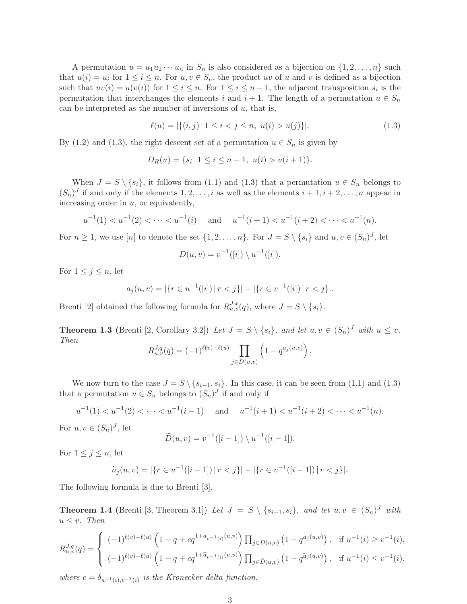A permutation  $u = u_1 u_2 \cdots u_n$  in  $S_n$  is also considered as a bijection on  $\{1, 2, \ldots, n\}$  such that  $u(i) = u_i$  for  $1 \leq i \leq n$ . For  $u, v \in S_n$ , the product uv of u and v is defined as a bijection such that  $uv(i) = u(v(i))$  for  $1 \leq i \leq n$ . For  $1 \leq i \leq n-1$ , the adjacent transposition  $s_i$  is the permutation that interchanges the elements i and  $i + 1$ . The length of a permutation  $u \in S_n$ can be interpreted as the number of inversions of  $u$ , that is,

$$
\ell(u) = |\{(i, j) | 1 \le i < j \le n, \ u(i) > u(j)\}|. \tag{1.3}
$$

By (1.2) and (1.3), the right descent set of a permutation  $u \in S_n$  is given by

$$
D_R(u) = \{ s_i \mid 1 \le i \le n-1, \ u(i) > u(i+1) \}.
$$

When  $J = S \setminus \{s_i\}$ , it follows from (1.1) and (1.3) that a permutation  $u \in S_n$  belongs to  $(S_n)^J$  if and only if the elements  $1, 2, \ldots, i$  as well as the elements  $i + 1, i + 2, \ldots, n$  appear in increasing order in  $u$ , or equivalently,

$$
u^{-1}(1) < u^{-1}(2) < \cdots < u^{-1}(i)
$$
 and  $u^{-1}(i+1) < u^{-1}(i+2) < \cdots < u^{-1}(n)$ .

For  $n \geq 1$ , we use [n] to denote the set  $\{1, 2, ..., n\}$ . For  $J = S \setminus \{s_i\}$  and  $u, v \in (S_n)^J$ , let

$$
D(u, v) = v^{-1}([i]) \setminus u^{-1}([i]).
$$

For  $1 \leq j \leq n$ , let

$$
a_j(u,v) = |\{r \in u^{-1}([i]) \mid r < j\}| - |\{r \in v^{-1}([i]) \mid r < j\}|.
$$

Brenti [2] obtained the following formula for  $R_{u,v}^{J,x}(q)$ , where  $J = S \setminus \{s_i\}$ .

**Theorem 1.3** (Brenti [2, Corollary 3.2]) Let  $J = S \setminus \{s_i\}$ , and let  $u, v \in (S_n)^J$  with  $u \leq v$ . Then

$$
R_{u,v}^{J,q}(q) = (-1)^{\ell(v)-\ell(u)} \prod_{j \in D(u,v)} \left(1 - q^{a_j(u,v)}\right).
$$

We now turn to the case  $J = S \setminus \{s_{i-1}, s_i\}$ . In this case, it can be seen from (1.1) and (1.3) that a permutation  $u \in S_n$  belongs to  $(S_n)^J$  if and only if

$$
u^{-1}(1) < u^{-1}(2) < \dots < u^{-1}(i-1) \quad \text{and} \quad u^{-1}(i+1) < u^{-1}(i+2) < \dots < u^{-1}(n).
$$

For  $u, v \in (S_n)^J$ , let

$$
\widetilde{D}(u, v) = v^{-1}([i-1]) \setminus u^{-1}([i-1]).
$$

For  $1 \leq j \leq n$ , let

$$
\widetilde{a}_j(u,v) = |\{r \in u^{-1}([i-1]) \mid r < j\}| - |\{r \in v^{-1}([i-1]) \mid r < j\}|.
$$

The following formula is due to Brenti [3].

**Theorem 1.4** (Brenti [3, Theorem 3.1]) Let  $J = S \setminus \{s_{i-1}, s_i\}$ , and let  $u, v \in (S_n)^J$  with  $u \leq v$ . Then

$$
R_{u,v}^{J,q}(q) = \begin{cases} (-1)^{\ell(v)-\ell(u)} \left(1-q+cq^{1+a_{v-1}(i)}^{(u,v)}\right) \prod_{j \in D(u,v)} \left(1-q^{a_j(u,v)}\right), & \text{if } u^{-1}(i) \ge v^{-1}(i), \\ (-1)^{\ell(v)-\ell(u)} \left(1-q+cq^{1+\widetilde{a}_{v-1}(i)}^{(u,v)}\right) \prod_{j \in \widetilde{D}(u,v)} \left(1-q^{\widetilde{a}_j(u,v)}\right), & \text{if } u^{-1}(i) \le v^{-1}(i), \end{cases}
$$

where  $c = \delta_{u^{-1}(i), v^{-1}(i)}$  is the Kronecker delta function.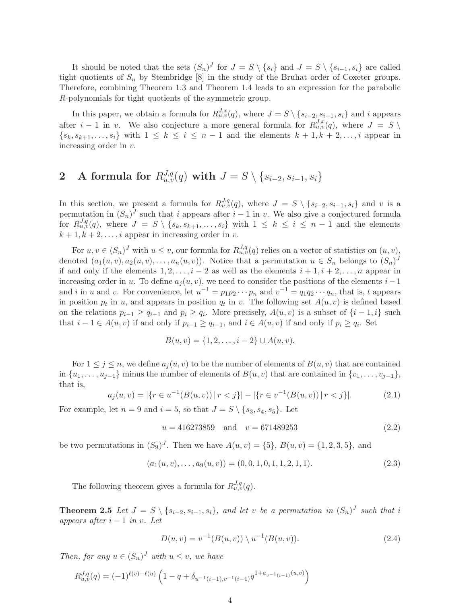It should be noted that the sets  $(S_n)^J$  for  $J = S \setminus \{s_i\}$  and  $J = S \setminus \{s_{i-1}, s_i\}$  are called tight quotients of  $S_n$  by Stembridge [8] in the study of the Bruhat order of Coxeter groups. Therefore, combining Theorem 1.3 and Theorem 1.4 leads to an expression for the parabolic R-polynomials for tight quotients of the symmetric group.

In this paper, we obtain a formula for  $R_{u,v}^{J,x}(q)$ , where  $J = S \setminus \{s_{i-2}, s_{i-1}, s_i\}$  and i appears after  $i-1$  in v. We also conjecture a more general formula for  $R_{u,v}^{J,x}(q)$ , where  $J = S \setminus$  $\{s_k, s_{k+1}, \ldots, s_i\}$  with  $1 \leq k \leq i \leq n-1$  and the elements  $k+1, k+2, \ldots, i$  appear in increasing order in v.

# $\textbf{2} \quad \textbf{A} \ \textbf{formula for} \ R_{u,v}^{J,q}(q) \ \textbf{with} \ J = S \setminus \{s_{i-2}, s_{i-1}, s_i\}$

In this section, we present a formula for  $R_{u,v}^{J,q}(q)$ , where  $J = S \setminus \{s_{i-2}, s_{i-1}, s_i\}$  and v is a permutation in  $(S_n)^J$  such that i appears after  $i-1$  in v. We also give a conjectured formula for  $R_{u,v}^{J,q}(q)$ , where  $J = S \setminus \{s_k, s_{k+1}, \ldots, s_i\}$  with  $1 \leq k \leq i \leq n-1$  and the elements  $k + 1, k + 2, \ldots, i$  appear in increasing order in v.

For  $u, v \in (S_n)^J$  with  $u \leq v$ , our formula for  $R_{u,v}^{J,q}(q)$  relies on a vector of statistics on  $(u, v)$ , denoted  $(a_1(u, v), a_2(u, v), \ldots, a_n(u, v))$ . Notice that a permutation  $u \in S_n$  belongs to  $(S_n)^J$ if and only if the elements  $1, 2, \ldots, i-2$  as well as the elements  $i+1, i+2, \ldots, n$  appear in increasing order in u. To define  $a_i(u, v)$ , we need to consider the positions of the elements  $i-1$ and i in u and v. For convenience, let  $u^{-1} = p_1 p_2 \cdots p_n$  and  $v^{-1} = q_1 q_2 \cdots q_n$ , that is, t appears in position  $p_t$  in u, and appears in position  $q_t$  in v. The following set  $A(u, v)$  is defined based on the relations  $p_{i-1} \ge q_{i-1}$  and  $p_i \ge q_i$ . More precisely,  $A(u, v)$  is a subset of  $\{i-1, i\}$  such that  $i - 1 \in A(u, v)$  if and only if  $p_{i-1} \ge q_{i-1}$ , and  $i \in A(u, v)$  if and only if  $p_i \ge q_i$ . Set

$$
B(u, v) = \{1, 2, \dots, i-2\} \cup A(u, v).
$$

For  $1 \leq j \leq n$ , we define  $a_j(u, v)$  to be the number of elements of  $B(u, v)$  that are contained in  $\{u_1, \ldots, u_{j-1}\}\$  minus the number of elements of  $B(u, v)$  that are contained in  $\{v_1, \ldots, v_{j-1}\}\$ , that is,

$$
a_j(u,v) = |\{r \in u^{-1}(B(u,v)) \mid r < j\}| - |\{r \in v^{-1}(B(u,v)) \mid r < j\}|. \tag{2.1}
$$

For example, let  $n = 9$  and  $i = 5$ , so that  $J = S \setminus \{s_3, s_4, s_5\}$ . Let

$$
u = 416273859 \quad \text{and} \quad v = 671489253 \tag{2.2}
$$

be two permutations in  $(S_9)^J$ . Then we have  $A(u, v) = \{5\}, B(u, v) = \{1, 2, 3, 5\},\$ and

$$
(a_1(u, v), \dots, a_9(u, v)) = (0, 0, 1, 0, 1, 1, 2, 1, 1). \tag{2.3}
$$

The following theorem gives a formula for  $R_{u,v}^{J,q}(q)$ .

**Theorem 2.5** Let  $J = S \setminus \{s_{i-2}, s_{i-1}, s_i\}$ , and let v be a permutation in  $(S_n)^J$  such that i appears after  $i - 1$  in v. Let

$$
D(u, v) = v^{-1}(B(u, v)) \setminus u^{-1}(B(u, v)).
$$
\n(2.4)

Then, for any  $u \in (S_n)^J$  with  $u \leq v$ , we have

$$
R_{u,v}^{J,q}(q) = (-1)^{\ell(v)-\ell(u)} \left(1 - q + \delta_{u^{-1}(i-1),v^{-1}(i-1)} q^{1+a_{v^{-1}(i-1)}(u,v)}\right)
$$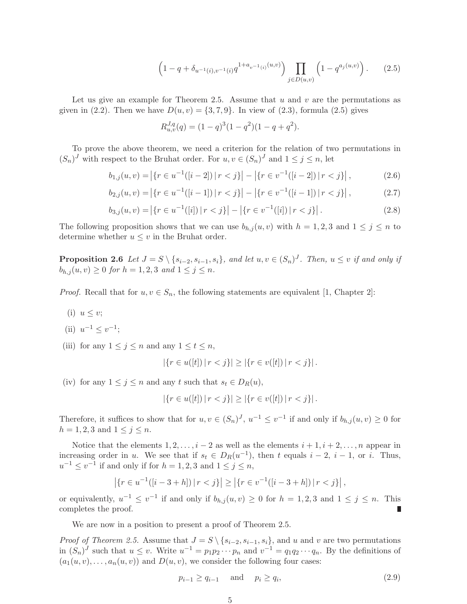$$
\left(1 - q + \delta_{u^{-1}(i), v^{-1}(i)} q^{1 + a_{v^{-1}(i)}(u, v)}\right) \prod_{j \in D(u, v)} \left(1 - q^{a_j(u, v)}\right). \tag{2.5}
$$

Let us give an example for Theorem 2.5. Assume that  $u$  and  $v$  are the permutations as given in (2.2). Then we have  $D(u, v) = \{3, 7, 9\}$ . In view of (2.3), formula (2.5) gives

$$
R_{u,v}^{J,q}(q) = (1-q)^3(1-q^2)(1-q+q^2).
$$

To prove the above theorem, we need a criterion for the relation of two permutations in  $(S_n)^J$  with respect to the Bruhat order. For  $u, v \in (S_n)^J$  and  $1 \le j \le n$ , let

$$
b_{1,j}(u,v) = |\{r \in u^{-1}([i-2]) \mid r < j\}| - |\{r \in v^{-1}([i-2]) \mid r < j\}|,\tag{2.6}
$$

$$
b_{2,j}(u,v) = |\{r \in u^{-1}([i-1]) \mid r < j\}| - |\{r \in v^{-1}([i-1]) \mid r < j\}|,\tag{2.7}
$$

$$
b_{3,j}(u,v) = |\{r \in u^{-1}([i]) \mid r < j\}| - |\{r \in v^{-1}([i]) \mid r < j\}|. \tag{2.8}
$$

The following proposition shows that we can use  $b_{h,j}(u, v)$  with  $h = 1, 2, 3$  and  $1 \leq j \leq n$  to determine whether  $u \leq v$  in the Bruhat order.

**Proposition 2.6** Let  $J = S \setminus \{s_{i-2}, s_{i-1}, s_i\}$ , and let  $u, v \in (S_n)^J$ . Then,  $u \leq v$  if and only if  $b_{h,j}(u, v) \ge 0$  for  $h = 1, 2, 3$  and  $1 \le j \le n$ .

*Proof.* Recall that for  $u, v \in S_n$ , the following statements are equivalent [1, Chapter 2]:

(i)  $u \leq v$ ;

(ii) 
$$
u^{-1} \leq v^{-1}
$$
;

(iii) for any  $1 \leq j \leq n$  and any  $1 \leq t \leq n$ ,

$$
|\{r \in u([t]) \, | \, r < j\}| \ge |\{r \in v([t]) \, | \, r < j\}| \, .
$$

(iv) for any  $1 \leq j \leq n$  and any t such that  $s_t \in D_R(u)$ ,

$$
|\{r \in u([t]) \mid r < j\}| \ge |\{r \in v([t]) \mid r < j\}|.
$$

Therefore, it suffices to show that for  $u, v \in (S_n)^J$ ,  $u^{-1} \le v^{-1}$  if and only if  $b_{h,j}(u, v) \ge 0$  for  $h = 1, 2, 3$  and  $1 \le j \le n$ .

Notice that the elements  $1, 2, \ldots, i-2$  as well as the elements  $i+1, i+2, \ldots, n$  appear in increasing order in u. We see that if  $s_t \in D_R(u^{-1})$ , then t equals  $i-2$ ,  $i-1$ , or i. Thus,  $u^{-1} \le v^{-1}$  if and only if for  $h = 1, 2, 3$  and  $1 \le j \le n$ ,

$$
\left| \{ r \in u^{-1}([i-3+h]) \, | \, r < j \} \right| \ge \left| \{ r \in v^{-1}([i-3+h]) \, | \, r < j \} \right|,
$$

or equivalently,  $u^{-1} \le v^{-1}$  if and only if  $b_{h,j}(u, v) \ge 0$  for  $h = 1, 2, 3$  and  $1 \le j \le n$ . This completes the proof. Г

We are now in a position to present a proof of Theorem 2.5.

*Proof of Theorem 2.5.* Assume that  $J = S \setminus \{s_{i-2}, s_{i-1}, s_i\}$ , and u and v are two permutations in  $(S_n)^J$  such that  $u \leq v$ . Write  $u^{-1} = p_1 p_2 \cdots p_n$  and  $v^{-1} = q_1 q_2 \cdots q_n$ . By the definitions of  $(a_1(u, v), \ldots, a_n(u, v))$  and  $D(u, v)$ , we consider the following four cases:

$$
p_{i-1} \ge q_{i-1} \quad \text{and} \quad p_i \ge q_i,\tag{2.9}
$$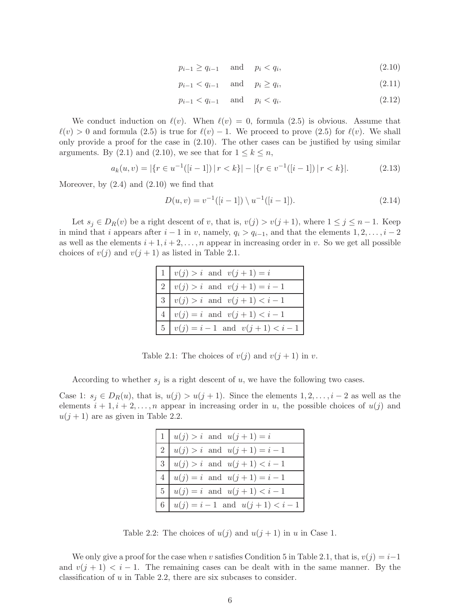$$
p_{i-1} \ge q_{i-1} \quad \text{and} \quad p_i < q_i,\tag{2.10}
$$

$$
p_{i-1} < q_{i-1} \quad \text{and} \quad p_i \ge q_i,\tag{2.11}
$$

$$
p_{i-1} < q_{i-1} \quad \text{and} \quad p_i < q_i. \tag{2.12}
$$

We conduct induction on  $\ell(v)$ . When  $\ell(v) = 0$ , formula (2.5) is obvious. Assume that  $\ell(v) > 0$  and formula (2.5) is true for  $\ell(v) - 1$ . We proceed to prove (2.5) for  $\ell(v)$ . We shall only provide a proof for the case in (2.10). The other cases can be justified by using similar arguments. By (2.1) and (2.10), we see that for  $1 \leq k \leq n$ ,

$$
a_k(u,v) = |\{r \in u^{-1}([i-1]) \mid r < k\}| - |\{r \in v^{-1}([i-1]) \mid r < k\}|. \tag{2.13}
$$

Moreover, by  $(2.4)$  and  $(2.10)$  we find that

$$
D(u, v) = v^{-1}([i - 1]) \setminus u^{-1}([i - 1]).
$$
\n(2.14)

Let  $s_j \in D_R(v)$  be a right descent of v, that is,  $v(j) > v(j+1)$ , where  $1 \leq j \leq n-1$ . Keep in mind that i appears after  $i - 1$  in v, namely,  $q_i > q_{i-1}$ , and that the elements  $1, 2, \ldots, i - 2$ as well as the elements  $i + 1, i + 2, \ldots, n$  appear in increasing order in v. So we get all possible choices of  $v(j)$  and  $v(j + 1)$  as listed in Table 2.1.

| 1   $v(j) > i$ and $v(j+1) = i$           |
|-------------------------------------------|
| 2   $v(j) > i$ and $v(j + 1) = i - 1$     |
| 3   $v(j) > i$ and $v(j + 1) < i - 1$     |
| 4   $v(j) = i$ and $v(j + 1) < i - 1$     |
| 5   $v(j) = i - 1$ and $v(j + 1) < i - 1$ |

Table 2.1: The choices of  $v(j)$  and  $v(j + 1)$  in v.

According to whether  $s_j$  is a right descent of u, we have the following two cases.

Case 1:  $s_j \in D_R(u)$ , that is,  $u(j) > u(j+1)$ . Since the elements  $1, 2, \ldots, i-2$  as well as the elements  $i + 1, i + 2, \ldots, n$  appear in increasing order in u, the possible choices of  $u(j)$  and  $u(j + 1)$  are as given in Table 2.2.

| 1   $u(j) > i$ and $u(j + 1) = i$                |
|--------------------------------------------------|
| 2   $u(j) > i$ and $u(j + 1) = i - 1$            |
| $ 3  u(j) > i$ and $u(j + 1) < i - 1$            |
| 4   $u(j) = i$ and $u(j + 1) = i - 1$            |
| $ 5 $ $u(j) = i$ and $u(j + 1) < i - 1$          |
| $  6   u(j) = i - 1 \text{ and } u(j+1) < i - 1$ |

Table 2.2: The choices of  $u(j)$  and  $u(j + 1)$  in u in Case 1.

We only give a proof for the case when v satisfies Condition 5 in Table 2.1, that is,  $v(j) = i-1$ and  $v(i + 1) < i - 1$ . The remaining cases can be dealt with in the same manner. By the classification of u in Table 2.2, there are six subcases to consider.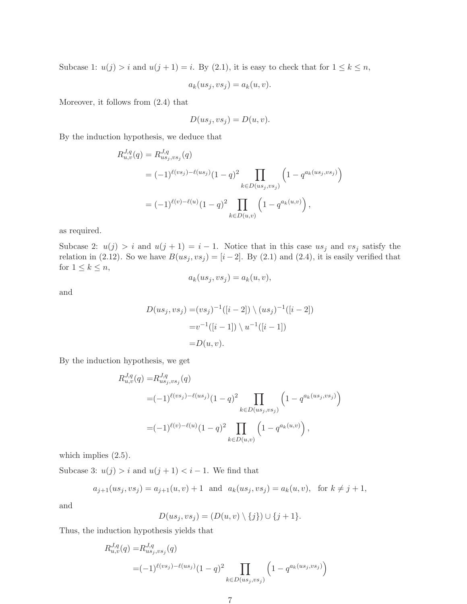Subcase 1:  $u(j) > i$  and  $u(j + 1) = i$ . By (2.1), it is easy to check that for  $1 \leq k \leq n$ ,

$$
a_k(us_j, vs_j) = a_k(u, v).
$$

Moreover, it follows from (2.4) that

$$
D(us_j, vs_j) = D(u, v).
$$

By the induction hypothesis, we deduce that

$$
R_{u,v}^{J,q}(q) = R_{us_j,vs_j}^{J,q}(q)
$$
  
=  $(-1)^{\ell(vs_j) - \ell(us_j)}(1-q)^2 \prod_{k \in D(us_j,vs_j)} \left(1 - q^{a_k(us_j,vs_j)}\right)$   
=  $(-1)^{\ell(v) - \ell(u)}(1-q)^2 \prod_{k \in D(u,v)} \left(1 - q^{a_k(u,v)}\right),$ 

as required.

Subcase 2:  $u(j) > i$  and  $u(j + 1) = i - 1$ . Notice that in this case us<sub>j</sub> and vs<sub>j</sub> satisfy the relation in (2.12). So we have  $B(us_j, vs_j) = [i-2]$ . By (2.1) and (2.4), it is easily verified that for  $1 \leq k \leq n$ ,

$$
a_k(us_j, vs_j) = a_k(u, v),
$$

and

$$
D(us_j, vs_j) = (vs_j)^{-1}([i-2]) \setminus (us_j)^{-1}([i-2])
$$
  
= $v^{-1}([i-1]) \setminus u^{-1}([i-1])$   
= $D(u, v)$ .

By the induction hypothesis, we get

$$
R_{u,v}^{J,q}(q) = R_{us_j,vs_j}^{J,q}(q)
$$
  
=  $(-1)^{\ell(vs_j) - \ell(us_j)}(1-q)^2 \prod_{k \in D(us_j,vs_j)} \left(1 - q^{a_k(us_j,vs_j)}\right)$   
=  $(-1)^{\ell(v) - \ell(u)}(1-q)^2 \prod_{k \in D(u,v)} \left(1 - q^{a_k(u,v)}\right),$ 

which implies  $(2.5)$ .

Subcase 3:  $u(j) > i$  and  $u(j + 1) < i - 1$ . We find that

$$
a_{j+1}(us_j, vs_j) = a_{j+1}(u, v) + 1
$$
 and  $a_k(us_j, vs_j) = a_k(u, v)$ , for  $k \neq j+1$ ,

and

$$
D(us_j, vs_j) = (D(u, v) \setminus \{j\}) \cup \{j+1\}.
$$

Thus, the induction hypothesis yields that

$$
R_{u,v}^{J,q}(q) = R_{us_j,vs_j}^{J,q}(q)
$$
  
=  $(-1)^{\ell(vs_j) - \ell(us_j)}(1-q)^2 \prod_{k \in D(us_j,vs_j)} \left(1 - q^{a_k(us_j,vs_j)}\right)$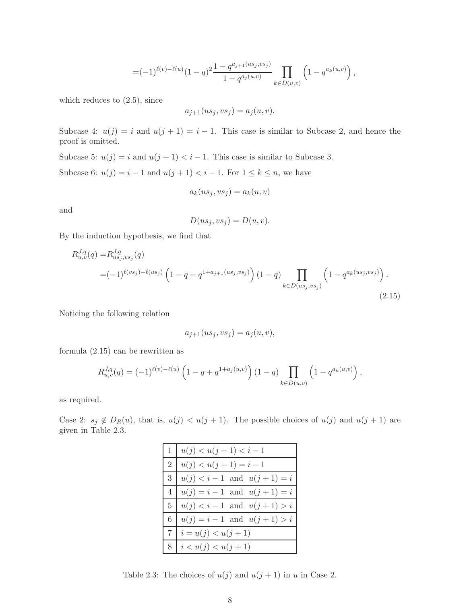$$
=(-1)^{\ell(v)-\ell(u)}(1-q)^2\frac{1-q^{a_{j+1}(us_j,vs_j)}}{1-q^{a_j(u,v)}}\prod_{k\in D(u,v)}\left(1-q^{a_k(u,v)}\right),
$$

which reduces to (2.5), since

$$
a_{j+1}(us_j, vs_j) = a_j(u, v).
$$

Subcase 4:  $u(j) = i$  and  $u(j + 1) = i - 1$ . This case is similar to Subcase 2, and hence the proof is omitted.

Subcase 5:  $u(j) = i$  and  $u(j + 1) < i - 1$ . This case is similar to Subcase 3.

Subcase 6:  $u(j) = i - 1$  and  $u(j + 1) < i - 1$ . For  $1 \leq k \leq n$ , we have

$$
a_k(us_j, vs_j) = a_k(u, v)
$$

and

$$
D(us_j, vs_j) = D(u, v).
$$

By the induction hypothesis, we find that

$$
R_{u,v}^{J,q}(q) = R_{us_j,vs_j}^{J,q}(q)
$$
  
=  $(-1)^{\ell(vs_j) - \ell(us_j} \left(1 - q + q^{1 + a_{j+1}(us_j,vs_j)}\right) \left(1 - q\right)$   

$$
k \in D(us_j,vs_j)
$$
  
 $(2.15)$ 

Noticing the following relation

$$
a_{j+1}(us_j, vs_j) = a_j(u, v),
$$

formula (2.15) can be rewritten as

$$
R_{u,v}^{J,q}(q) = (-1)^{\ell(v)-\ell(u)} \left(1 - q + q^{1+a_j(u,v)}\right) (1-q) \prod_{k \in D(u,v)} \left(1 - q^{a_k(u,v)}\right),
$$

as required.

Case 2:  $s_j \notin D_R(u)$ , that is,  $u(j) < u(j + 1)$ . The possible choices of  $u(j)$  and  $u(j + 1)$  are given in Table 2.3.

| $1   u(j) < u(j+1) < i-1$                |
|------------------------------------------|
| $2   u(j) < u(j+1) = i-1$                |
| $3   u(j) < i-1 \text{ and } u(j+1) = i$ |
| $4   u(j) = i - 1$ and $u(j + 1) = i$    |
| $5   u(j) < i-1$ and $u(j+1) > i$        |
| 6   $u(j) = i - 1$ and $u(j + 1) > i$    |
| $7   i = u(j) < u(j+1)$                  |
| $8   i < u(j) < u(j+1)$                  |

Table 2.3: The choices of  $u(j)$  and  $u(j + 1)$  in u in Case 2.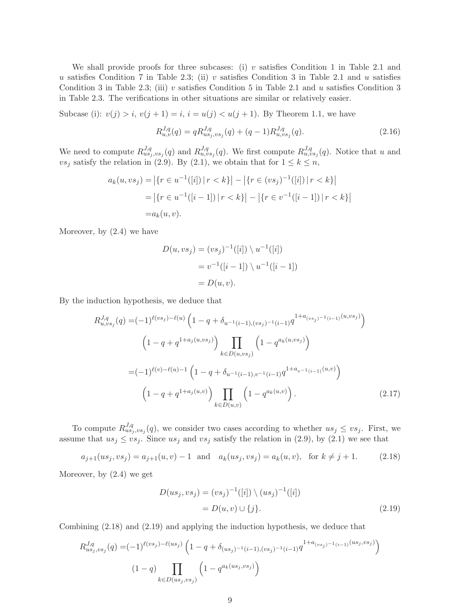We shall provide proofs for three subcases: (i) v satisfies Condition 1 in Table 2.1 and u satisfies Condition 7 in Table 2.3; (ii) v satisfies Condition 3 in Table 2.1 and u satisfies Condition 3 in Table 2.3; (iii) v satisfies Condition 5 in Table 2.1 and u satisfies Condition 3 in Table 2.3. The verifications in other situations are similar or relatively easier.

Subcase (i):  $v(j) > i$ ,  $v(j + 1) = i$ ,  $i = u(j) < u(j + 1)$ . By Theorem 1.1, we have

$$
R_{u,v}^{J,q}(q) = q R_{us_j,vs_j}^{J,q}(q) + (q-1) R_{u,vs_j}^{J,q}(q). \tag{2.16}
$$

We need to compute  $R_{us_j,vs_j}^{J,q}(q)$  and  $R_{u,vs_j}^{J,q}(q)$ . We first compute  $R_{u,vs_j}^{J,q}(q)$ . Notice that u and vs<sub>j</sub> satisfy the relation in (2.9). By (2.1), we obtain that for  $1 \leq k \leq n$ ,

$$
a_k(u, vs_j) = |\{r \in u^{-1}([i]) \mid r < k\}| - |\{r \in (vs_j)^{-1}([i]) \mid r < k\}|
$$
\n
$$
= |\{r \in u^{-1}([i-1]) \mid r < k\}| - |\{r \in v^{-1}([i-1]) \mid r < k\}|
$$
\n
$$
= a_k(u, v).
$$

Moreover, by (2.4) we have

$$
D(u, vs_j) = (vs_j)^{-1}([i]) \setminus u^{-1}([i])
$$
  
=  $v^{-1}([i - 1]) \setminus u^{-1}([i - 1])$   
=  $D(u, v)$ .

By the induction hypothesis, we deduce that

$$
R_{u,vs_j}^{J,q}(q) = (-1)^{\ell(vs_j) - \ell(u)} \left(1 - q + \delta_{u^{-1}(i-1),(vs_j)^{-1}(i-1)} q^{1 + a_{(vs_j)^{-1}(i-1)}(u,vs_j)}\right)
$$

$$
\left(1 - q + q^{1 + a_j(u,vs_j)}\right) \prod_{k \in D(u,vs_j)} \left(1 - q^{a_k(u,vs_j)}\right)
$$

$$
= (-1)^{\ell(v) - \ell(u) - 1} \left(1 - q + \delta_{u^{-1}(i-1),v^{-1}(i-1)} q^{1 + a_{v^{-1}(i-1)}(u,v)}\right)
$$

$$
\left(1 - q + q^{1 + a_j(u,v)}\right) \prod_{k \in D(u,v)} \left(1 - q^{a_k(u,v)}\right).
$$
(2.17)

To compute  $R_{us_j,vs_j}^{J,q}(q)$ , we consider two cases according to whether  $us_j \leq vs_j$ . First, we assume that  $us_j \leq vs_j$ . Since  $us_j$  and  $vs_j$  satisfy the relation in (2.9), by (2.1) we see that

$$
a_{j+1}(us_j, vs_j) = a_{j+1}(u, v) - 1 \text{ and } a_k(us_j, vs_j) = a_k(u, v), \text{ for } k \neq j+1.
$$
 (2.18)

Moreover, by (2.4) we get

$$
D(us_j, vs_j) = (vs_j)^{-1}([i]) \setminus (us_j)^{-1}([i])
$$
  
=  $D(u, v) \cup \{j\}.$  (2.19)

Combining (2.18) and (2.19) and applying the induction hypothesis, we deduce that

$$
R_{us_j, vs_j}^{J, q}(q) = (-1)^{\ell(vs_j) - \ell(us_j)} \left(1 - q + \delta_{(us_j)^{-1}(i-1),(vs_j)^{-1}(i-1)}q^{1 + a_{(vs_j)^{-1}(i-1)}(us_j, vs_j)}\right)
$$

$$
(1 - q) \prod_{k \in D(us_j, vs_j)} \left(1 - q^{a_k(us_j, vs_j)}\right)
$$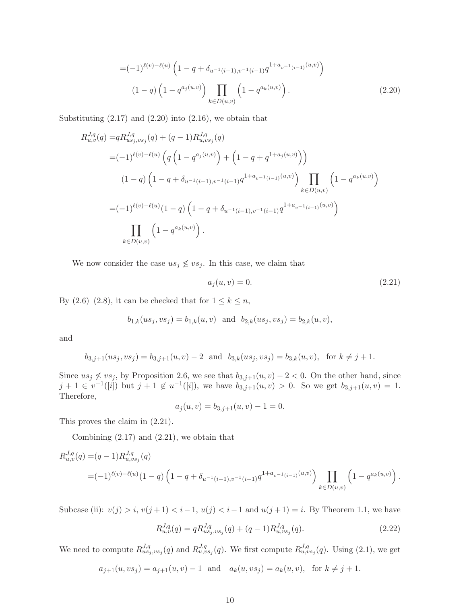$$
=(-1)^{\ell(v)-\ell(u)} \left(1-q+\delta_{u^{-1}(i-1),v^{-1}(i-1)}q^{1+a_{v^{-1}(i-1)}(u,v)}\right)
$$

$$
(1-q)\left(1-q^{a_j(u,v)}\right) \prod_{k \in D(u,v)} \left(1-q^{a_k(u,v)}\right).
$$
(2.20)

Substituting  $(2.17)$  and  $(2.20)$  into  $(2.16)$ , we obtain that

$$
R_{u,v}^{J,q}(q) = q R_{us_j,vs_j}^{J,q}(q) + (q-1)R_{u,vs_j}^{J,q}(q)
$$
  
\n
$$
= (-1)^{\ell(v)-\ell(u)} \left( q \left( 1 - q^{a_j(u,v)} \right) + \left( 1 - q + q^{1+a_j(u,v)} \right) \right)
$$
  
\n
$$
(1-q) \left( 1 - q + \delta_{u^{-1}(i-1),v^{-1}(i-1)} q^{1+a_{v^{-1}(i-1)}(u,v)} \right) \prod_{k \in D(u,v)} \left( 1 - q^{a_k(u,v)} \right)
$$
  
\n
$$
= (-1)^{\ell(v)-\ell(u)} (1-q) \left( 1 - q + \delta_{u^{-1}(i-1),v^{-1}(i-1)} q^{1+a_{v^{-1}(i-1)}(u,v)} \right)
$$
  
\n
$$
\prod_{k \in D(u,v)} \left( 1 - q^{a_k(u,v)} \right).
$$

We now consider the case  $us_j \not\leq vs_j$ . In this case, we claim that

$$
a_j(u,v) = 0.\t\t(2.21)
$$

By  $(2.6)-(2.8)$ , it can be checked that for  $1 \leq k \leq n$ ,

$$
b_{1,k}(us_j, vs_j) = b_{1,k}(u, v)
$$
 and  $b_{2,k}(us_j, vs_j) = b_{2,k}(u, v)$ ,

and

$$
b_{3,j+1}(us_j, vs_j) = b_{3,j+1}(u, v) - 2
$$
 and  $b_{3,k}(us_j, vs_j) = b_{3,k}(u, v)$ , for  $k \neq j+1$ .

Since  $us_j \nleq vs_j$ , by Proposition 2.6, we see that  $b_{3,j+1}(u, v) - 2 < 0$ . On the other hand, since  $j+1 \in [v^{-1}([i])$  but  $j+1 \notin u^{-1}([i])$ , we have  $b_{3,j+1}(u,v) > 0$ . So we get  $b_{3,j+1}(u,v) = 1$ . Therefore,

$$
a_j(u, v) = b_{3,j+1}(u, v) - 1 = 0.
$$

This proves the claim in (2.21).

Combining  $(2.17)$  and  $(2.21)$ , we obtain that

$$
R_{u,v}^{J,q}(q) = (q-1)R_{u,vs_j}^{J,q}(q)
$$
  
=  $(-1)^{\ell(v)-\ell(u)}(1-q)\left(1-q+\delta_{u^{-1}(i-1),v^{-1}(i-1)}q^{1+a_{v^{-1}(i-1)}(u,v)}\right)\prod_{k\in D(u,v)}\left(1-q^{a_k(u,v)}\right).$ 

Subcase (ii):  $v(j) > i$ ,  $v(j+1) < i-1$ ,  $u(j) < i-1$  and  $u(j+1) = i$ . By Theorem 1.1, we have

$$
R_{u,v}^{J,q}(q) = q R_{us_j,vs_j}^{J,q}(q) + (q-1) R_{u,vs_j}^{J,q}(q). \tag{2.22}
$$

We need to compute  $R_{us_j,vs_j}^{J,q}(q)$  and  $R_{u,vs_j}^{J,q}(q)$ . We first compute  $R_{u,vs_j}^{J,q}(q)$ . Using (2.1), we get

 $a_{j+1}(u, vs_j) = a_{j+1}(u, v) - 1$  and  $a_k(u, vs_j) = a_k(u, v)$ , for  $k \neq j+1$ .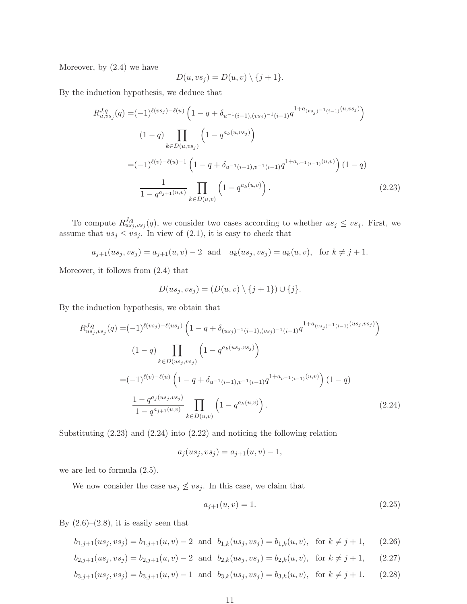Moreover, by (2.4) we have

$$
D(u, vs_j) = D(u, v) \setminus \{j+1\}.
$$

By the induction hypothesis, we deduce that

$$
R_{u,vs_j}^{J,q}(q) = (-1)^{\ell(vs_j) - \ell(u)} \left(1 - q + \delta_{u^{-1}(i-1),(vs_j)^{-1}(i-1)} q^{1 + a_{(vs_j)^{-1}(i-1)}(u,vs_j)}\right)
$$
  

$$
(1-q) \prod_{k \in D(u,vs_j)} \left(1 - q^{a_k(u,vs_j)}\right)
$$
  

$$
= (-1)^{\ell(v) - \ell(u) - 1} \left(1 - q + \delta_{u^{-1}(i-1),v^{-1}(i-1)} q^{1 + a_{v^{-1}(i-1)}(u,v)}\right) (1-q)
$$
  

$$
\frac{1}{1 - q^{a_{j+1}(u,v)}} \prod_{k \in D(u,v)} \left(1 - q^{a_k(u,v)}\right).
$$
 (2.23)

To compute  $R_{us_j,vs_j}^{J,q}(q)$ , we consider two cases according to whether  $us_j \leq vs_j$ . First, we assume that  $us_j \leq vs_j$ . In view of  $(2.1)$ , it is easy to check that

$$
a_{j+1}(us_j, vs_j) = a_{j+1}(u, v) - 2
$$
 and  $a_k(us_j, vs_j) = a_k(u, v)$ , for  $k \neq j+1$ .

Moreover, it follows from (2.4) that

$$
D(us_j, vs_j) = (D(u, v) \setminus \{j+1\}) \cup \{j\}.
$$

By the induction hypothesis, we obtain that

$$
R_{us_j, vs_j}^{J,q}(q) = (-1)^{\ell(vs_j) - \ell(us_j)} \left(1 - q + \delta_{(us_j)^{-1}(i-1),(vs_j)^{-1}(i-1)}q^{1 + a_{(vs_j)^{-1}(i-1)}(us_j, vs_j)}\right)
$$
  

$$
(1 - q) \prod_{k \in D(us_j, vs_j} \left(1 - q^{a_k(us_j, vs_j)}\right)
$$
  

$$
= (-1)^{\ell(v) - \ell(u)} \left(1 - q + \delta_{u^{-1}(i-1), v^{-1}(i-1)}q^{1 + a_{v^{-1}(i-1)}(u, v)}\right) (1 - q)
$$
  

$$
\frac{1 - q^{a_j(us_j, vs_j)}}{1 - q^{a_{j+1}(u, v)}} \prod_{k \in D(u, v)} \left(1 - q^{a_k(u, v)}\right).
$$
 (2.24)

Substituting (2.23) and (2.24) into (2.22) and noticing the following relation

$$
a_j(us_j, vs_j) = a_{j+1}(u, v) - 1,
$$

we are led to formula (2.5).

We now consider the case  $us_j \nleq vs_j$ . In this case, we claim that

$$
a_{j+1}(u,v) = 1.\t\t(2.25)
$$

By  $(2.6)$ – $(2.8)$ , it is easily seen that

$$
b_{1,j+1}(us_j, vs_j) = b_{1,j+1}(u, v) - 2 \text{ and } b_{1,k}(us_j, vs_j) = b_{1,k}(u, v), \text{ for } k \neq j+1,
$$
 (2.26)

$$
b_{2,j+1}(us_j, vs_j) = b_{2,j+1}(u, v) - 2 \text{ and } b_{2,k}(us_j, vs_j) = b_{2,k}(u, v), \text{ for } k \neq j+1,
$$
 (2.27)

$$
b_{3,j+1}(us_j, vs_j) = b_{3,j+1}(u, v) - 1 \text{ and } b_{3,k}(us_j, vs_j) = b_{3,k}(u, v), \text{ for } k \neq j+1.
$$
 (2.28)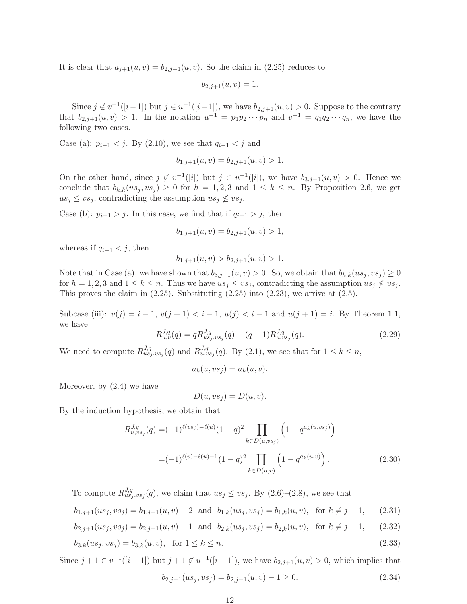It is clear that  $a_{j+1}(u, v) = b_{2,j+1}(u, v)$ . So the claim in (2.25) reduces to

$$
b_{2,j+1}(u,v) = 1.
$$

Since  $j \notin v^{-1}([i-1])$  but  $j \in u^{-1}([i-1])$ , we have  $b_{2,j+1}(u, v) > 0$ . Suppose to the contrary that  $b_{2,j+1}(u, v) > 1$ . In the notation  $u^{-1} = p_1 p_2 \cdots p_n$  and  $v^{-1} = q_1 q_2 \cdots q_n$ , we have the following two cases.

Case (a):  $p_{i-1} < j$ . By (2.10), we see that  $q_{i-1} < j$  and

$$
b_{1,j+1}(u,v) = b_{2,j+1}(u,v) > 1.
$$

On the other hand, since  $j \notin v^{-1}([i])$  but  $j \in u^{-1}([i])$ , we have  $b_{3,j+1}(u, v) > 0$ . Hence we conclude that  $b_{h,k}(us_j, vs_j) \geq 0$  for  $h = 1, 2, 3$  and  $1 \leq k \leq n$ . By Proposition 2.6, we get  $us_j \leq vs_j$ , contradicting the assumption  $us_j \nleq vs_j$ .

Case (b):  $p_{i-1} > j$ . In this case, we find that if  $q_{i-1} > j$ , then

$$
b_{1,j+1}(u,v) = b_{2,j+1}(u,v) > 1,
$$

whereas if  $q_{i-1} < j$ , then

$$
b_{1,j+1}(u,v) > b_{2,j+1}(u,v) > 1.
$$

Note that in Case (a), we have shown that  $b_{3,j+1}(u, v) > 0$ . So, we obtain that  $b_{h,k}(us_j, vs_j) \geq 0$ for  $h = 1, 2, 3$  and  $1 \leq k \leq n$ . Thus we have  $us_j \leq vs_j$ , contradicting the assumption  $us_j \nleq vs_j$ . This proves the claim in  $(2.25)$ . Substituting  $(2.25)$  into  $(2.23)$ , we arrive at  $(2.5)$ .

Subcase (iii):  $v(j) = i - 1$ ,  $v(j + 1) < i - 1$ ,  $u(j) < i - 1$  and  $u(j + 1) = i$ . By Theorem 1.1, we have

$$
R_{u,v}^{J,q}(q) = q R_{us_j,vs_j}^{J,q}(q) + (q-1) R_{u,vs_j}^{J,q}(q). \tag{2.29}
$$

We need to compute  $R_{us_j,vs_j}^{J,q}(q)$  and  $R_{u,vs_j}^{J,q}(q)$ . By (2.1), we see that for  $1 \leq k \leq n$ ,

$$
a_k(u, vs_j) = a_k(u, v).
$$

Moreover, by  $(2.4)$  we have

$$
D(u, vs_j) = D(u, v).
$$

By the induction hypothesis, we obtain that

$$
R_{u, vs_j}^{J,q}(q) = (-1)^{\ell(vs_j) - \ell(u)} (1-q)^2 \prod_{k \in D(u, vs_j)} \left(1 - q^{a_k(u, vs_j)}\right)
$$

$$
= (-1)^{\ell(v) - \ell(u) - 1} (1-q)^2 \prod_{k \in D(u, v)} \left(1 - q^{a_k(u, v)}\right).
$$
(2.30)

To compute  $R_{us_j,vs_j}^{J,q}(q)$ , we claim that  $us_j \leq vs_j$ . By  $(2.6)-(2.8)$ , we see that

$$
b_{1,j+1}(us_j, vs_j) = b_{1,j+1}(u, v) - 2 \text{ and } b_{1,k}(us_j, vs_j) = b_{1,k}(u, v), \text{ for } k \neq j+1,
$$
 (2.31)

$$
b_{2,j+1}(us_j, vs_j) = b_{2,j+1}(u, v) - 1 \text{ and } b_{2,k}(us_j, vs_j) = b_{2,k}(u, v), \text{ for } k \neq j+1,
$$
 (2.32)

$$
b_{3,k}(us_j, vs_j) = b_{3,k}(u, v), \text{ for } 1 \le k \le n.
$$
\n(2.33)

Since  $j+1 \in v^{-1}([i-1])$  but  $j+1 \notin u^{-1}([i-1])$ , we have  $b_{2,j+1}(u,v) > 0$ , which implies that

$$
b_{2,j+1}(us_j, vs_j) = b_{2,j+1}(u, v) - 1 \ge 0.
$$
\n(2.34)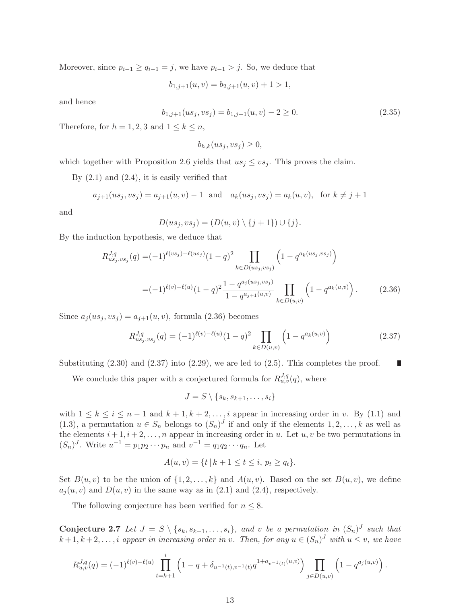Moreover, since  $p_{i-1} \ge q_{i-1} = j$ , we have  $p_{i-1} > j$ . So, we deduce that

$$
b_{1,j+1}(u,v) = b_{2,j+1}(u,v) + 1 > 1,
$$

and hence

$$
b_{1,j+1}(us_j, vs_j) = b_{1,j+1}(u, v) - 2 \ge 0.
$$
\n(2.35)

Therefore, for  $h = 1, 2, 3$  and  $1 \leq k \leq n$ ,

$$
b_{h,k}(us_j, vs_j) \ge 0,
$$

which together with Proposition 2.6 yields that  $us_j \leq vs_j$ . This proves the claim.

By  $(2.1)$  and  $(2.4)$ , it is easily verified that

$$
a_{j+1}(us_j, vs_j) = a_{j+1}(u, v) - 1
$$
 and  $a_k(us_j, vs_j) = a_k(u, v)$ , for  $k \neq j+1$ 

and

$$
D(us_j, vs_j) = (D(u, v) \setminus \{j+1\}) \cup \{j\}.
$$

By the induction hypothesis, we deduce that

$$
R_{us_j, vs_j}^{J,q}(q) = (-1)^{\ell(vs_j) - \ell(us_j)} (1-q)^2 \prod_{k \in D(us_j, vs_j)} \left(1 - q^{a_k(us_j, vs_j)}\right)
$$
  
= 
$$
(-1)^{\ell(v) - \ell(u)} (1-q)^2 \frac{1 - q^{a_j(us_j, vs_j)}}{1 - q^{a_{j+1}(u,v)}} \prod_{k \in D(u,v)} \left(1 - q^{a_k(u,v)}\right).
$$
 (2.36)

Since  $a_i(us_j,vs_j) = a_{j+1}(u,v)$ , formula (2.36) becomes

$$
R_{us_j, vs_j}^{J,q}(q) = (-1)^{\ell(v) - \ell(u)} (1-q)^2 \prod_{k \in D(u,v)} \left(1 - q^{a_k(u,v)}\right)
$$
 (2.37)

Substituting  $(2.30)$  and  $(2.37)$  into  $(2.29)$ , we are led to  $(2.5)$ . This completes the proof. г

We conclude this paper with a conjectured formula for  $R_{u,v}^{J,q}(q)$ , where

$$
J = S \setminus \{s_k, s_{k+1}, \ldots, s_i\}
$$

with  $1 \leq k \leq i \leq n-1$  and  $k+1, k+2, \ldots, i$  appear in increasing order in v. By (1.1) and (1.3), a permutation  $u \in S_n$  belongs to  $(S_n)^J$  if and only if the elements  $1, 2, ..., k$  as well as the elements  $i+1, i+2, \ldots, n$  appear in increasing order in u. Let  $u, v$  be two permutations in  $(S_n)^J$ . Write  $u^{-1} = p_1 p_2 \cdots p_n$  and  $v^{-1} = q_1 q_2 \cdots q_n$ . Let

$$
A(u, v) = \{t \mid k + 1 \le t \le i, \ p_t \ge q_t\}.
$$

Set  $B(u, v)$  to be the union of  $\{1, 2, \ldots, k\}$  and  $A(u, v)$ . Based on the set  $B(u, v)$ , we define  $a_j(u, v)$  and  $D(u, v)$  in the same way as in (2.1) and (2.4), respectively.

The following conjecture has been verified for  $n \leq 8$ .

**Conjecture 2.7** Let  $J = S \setminus \{s_k, s_{k+1}, \ldots, s_i\}$ , and v be a permutation in  $(S_n)^J$  such that  $k+1, k+2, \ldots, i$  appear in increasing order in v. Then, for any  $u \in (S_n)^J$  with  $u \leq v$ , we have

$$
R_{u,v}^{J,q}(q) = (-1)^{\ell(v)-\ell(u)} \prod_{t=k+1}^i \left(1 - q + \delta_{u^{-1}(t),v^{-1}(t)} q^{1+a_{v^{-1}(t)}(u,v)}\right) \prod_{j \in D(u,v)} \left(1 - q^{a_j(u,v)}\right).
$$